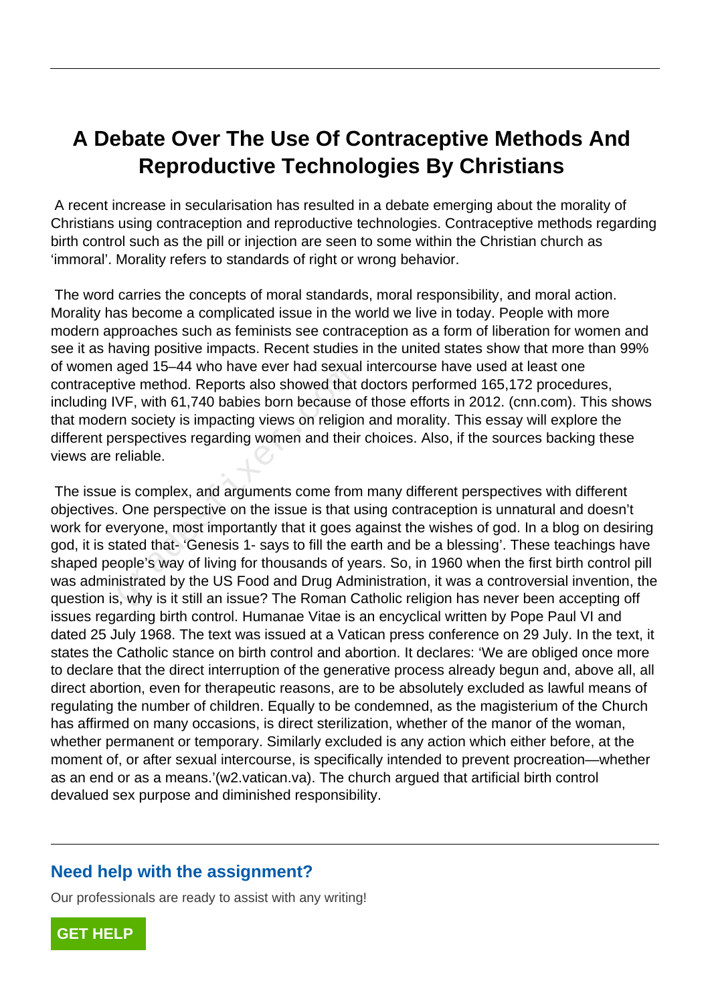## **A Debate Over The Use Of Contraceptive Methods And Reproductive Technologies By Christians**

 A recent increase in secularisation has resulted in a debate emerging about the morality of Christians using contraception and reproductive technologies. Contraceptive methods regarding birth control such as the pill or injection are seen to some within the Christian church as 'immoral'. Morality refers to standards of right or wrong behavior.

 The word carries the concepts of moral standards, moral responsibility, and moral action. Morality has become a complicated issue in the world we live in today. People with more modern approaches such as feminists see contraception as a form of liberation for women and see it as having positive impacts. Recent studies in the united states show that more than 99% of women aged 15–44 who have ever had sexual intercourse have used at least one contraceptive method. Reports also showed that doctors performed 165,172 procedures, including IVF, with 61,740 babies born because of those efforts in 2012. (cnn.com). This shows that modern society is impacting views on religion and morality. This essay will explore the different perspectives regarding women and their choices. Also, if the sources backing these views are reliable.

 The issue is complex, and arguments come from many different perspectives with different objectives. One perspective on the issue is that using contraception is unnatural and doesn't work for everyone, most importantly that it goes against the wishes of god. In a blog on desiring god, it is stated that- 'Genesis 1- says to fill the earth and be a blessing'. These teachings have shaped people's way of living for thousands of years. So, in 1960 when the first birth control pill was administrated by the US Food and Drug Administration, it was a controversial invention, the question is, why is it still an issue? The Roman Catholic religion has never been accepting off issues regarding birth control. Humanae Vitae is an encyclical written by Pope Paul VI and dated 25 July 1968. The text was issued at a Vatican press conference on 29 July. In the text, it states the Catholic stance on birth control and abortion. It declares: 'We are obliged once more to declare that the direct interruption of the generative process already begun and, above all, all direct abortion, even for therapeutic reasons, are to be absolutely excluded as lawful means of regulating the number of children. Equally to be condemned, as the magisterium of the Church has affirmed on many occasions, is direct sterilization, whether of the manor of the woman, whether permanent or temporary. Similarly excluded is any action which either before, at the moment of, or after sexual intercourse, is specifically intended to prevent procreation—whether as an end or as a means.'(w2.vatican.va). The church argued that artificial birth control devalued sex purpose and diminished responsibility. aged 15–44 who have ever had sexual<br>ive method. Reports also showed that<br>VF, with 61,740 babies born because com<br>society is impacting views on religion<br>erspectives regarding women and their<br>reliable.<br>is complex, and argume

## **Need help with the assignment?**

Our professionals are ready to assist with any writing!

**[GET HELP](https://my.gradesfixer.com/order?utm_campaign=pdf_sample)**